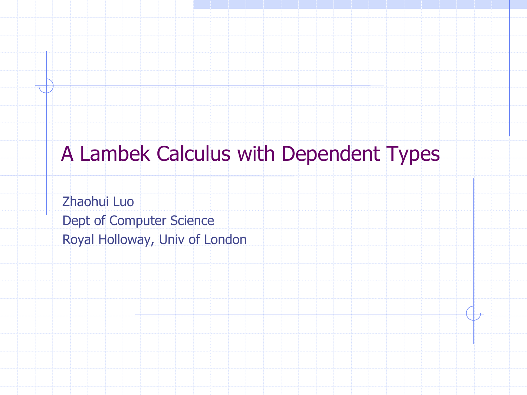## A Lambek Calculus with Dependent Types

Zhaohui Luo Dept of Computer Science Royal Holloway, Univ of London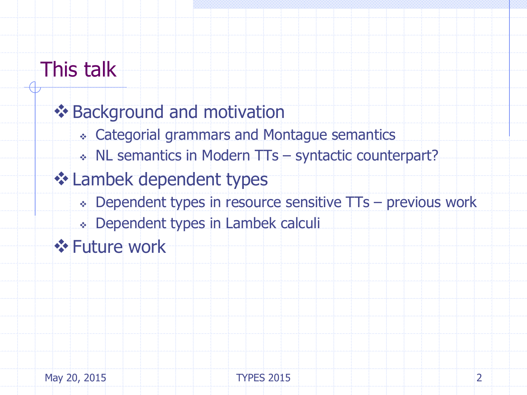## This talk

## **❖ Background and motivation**  Categorial grammars and Montague semantics NL semantics in Modern TTs – syntactic counterpart? **❖ Lambek dependent types**  Dependent types in resource sensitive TTs – previous work Dependent types in Lambek calculi **❖ Future work**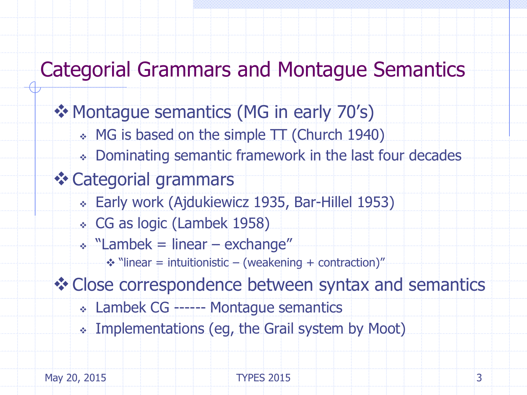### Categorial Grammars and Montague Semantics

### ❖ Montague semantics (MG in early 70's)

- MG is based on the simple TT (Church 1940)
- Dominating semantic framework in the last four decades
- Categorial grammars
	- Early work (Ajdukiewicz 1935, Bar-Hillel 1953)
	- CG as logic (Lambek 1958)
	- $\cdot$  "Lambek = linear exchange"
		- $\cdot$  "linear = intuitionistic (weakening + contraction)"

Close correspondence between syntax and semantics

- Lambek CG ------ Montague semantics
- Implementations (eg, the Grail system by Moot)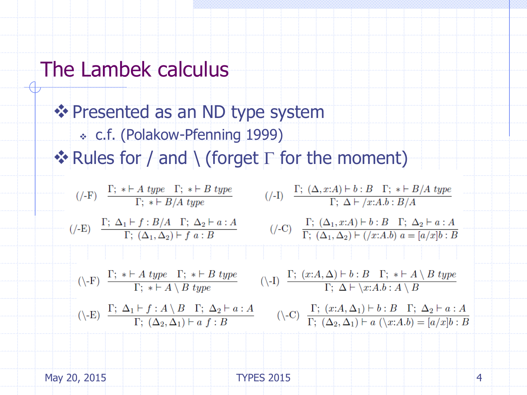### The Lambek calculus

**Externe Figure 25 Presented as an ND type system**  c.f. (Polakow-Pfenning 1999)  $\triangleleft$  Rules for / and \ (forget  $\Gamma$  for the moment)

(/-I)  $\frac{\Gamma; (\Delta, x:A) \vdash b : B \Gamma; * \vdash B/A \text{ type}}{\Gamma; \Delta \vdash / x:A.b : B/A}$  $(\mathcal{F})$   $\frac{\Gamma; * \vdash A \text{ type } \Gamma; * \vdash B \text{ type}}{\Gamma; * \vdash B / A \text{ true}}$ (/-C)  $\frac{\Gamma; (\Delta_1, x:A) \vdash b : B \Gamma; \Delta_2 \vdash a : A}{\Gamma; (\Delta_1, \Delta_2) \vdash (x:A.b) \ a = [a/x]b : B}$  $(-E)$   $\frac{\Gamma; \Delta_1 \vdash f : B/A \quad \Gamma; \Delta_2 \vdash a : A}{\Gamma; (\Delta_1, \Delta_2) \vdash f \quad a : B}$ (\-I)  $\frac{\Gamma; (x:A,\Delta) \vdash b : B \quad \Gamma; * \vdash A \setminus B \text{ type}}{\Gamma; \Delta \vdash \setminus x:A.b : A \setminus B}$  $\Gamma(\rightarrow F)$   $\frac{\Gamma; * \vdash A \text{ type } \Gamma; * \vdash B \text{ type } \Gamma; * \vdash B \text{ type } \Gamma; * \vdash A \setminus B \text{ true}}{\Gamma; * \vdash A \setminus B \text{ true}}$  $(\neg E)$   $\frac{\Gamma; \Delta_1 \vdash f : A \setminus B \Gamma; \Delta_2 \vdash a : A}{\Gamma; (\Delta_2, \Delta_1) \vdash a \ f : B}$   $(\neg C)$   $\frac{\Gamma; (x:A, \Delta_1) \vdash b : B \Gamma; \Delta_2 \vdash a : A}{\Gamma; (\Delta_2, \Delta_1) \vdash a \ (\lambda x:A,b) = [a/xb : B]}$ 

May 20, 2015 **TYPES** 2015 **TYPES** 2015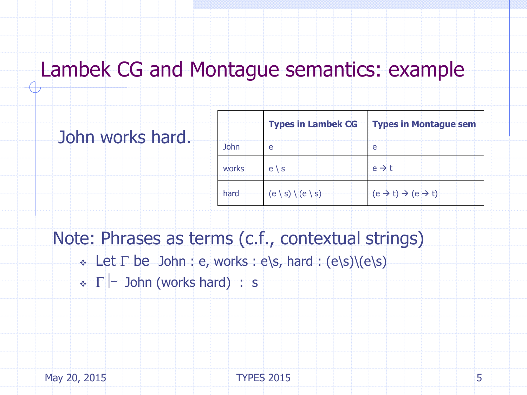### Lambek CG and Montague semantics: example

|  | John works hard. |  |
|--|------------------|--|
|  |                  |  |
|  |                  |  |
|  |                  |  |

|             |                              | Types in Lambek CG   Types in Montague sem        |
|-------------|------------------------------|---------------------------------------------------|
| <b>John</b> | e                            |                                                   |
| works       | $e \, \backslash \, s$       | $e \rightarrow t$                                 |
| hard        | $(e \mid s) \mid (e \mid s)$ | $(e \rightarrow t) \rightarrow (e \rightarrow t)$ |

Note: Phrases as terms (c.f., contextual strings)

- $\cdot$  Let  $\Gamma$  be John : e, works : e\s, hard : (e\s)\(e\s)
- $\cdot \Gamma$  John (works hard) : s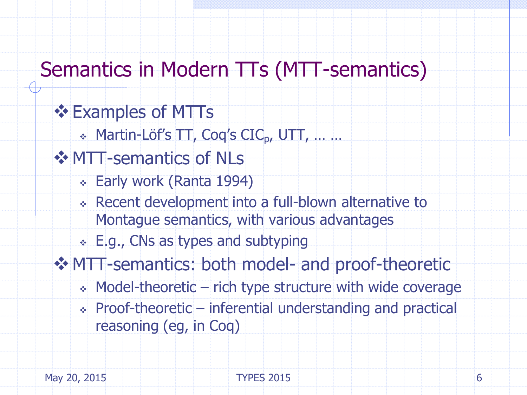## Semantics in Modern TTs (MTT-semantics)

### **❖ Examples of MTTs**

 $\cdot$  Martin-Löf's  $TT$ , Coq's CIC<sub>p</sub>, UTT, ... ...

### **❖ MTT-semantics of NLs**

- Early work (Ranta 1994)
- Recent development into a full-blown alternative to Montague semantics, with various advantages
- E.g., CNs as types and subtyping
- MTT-semantics: both model- and proof-theoretic
	- $\cdot$  Model-theoretic rich type structure with wide coverage
	- $\cdot$  Proof-theoretic inferential understanding and practical reasoning (eg, in Coq)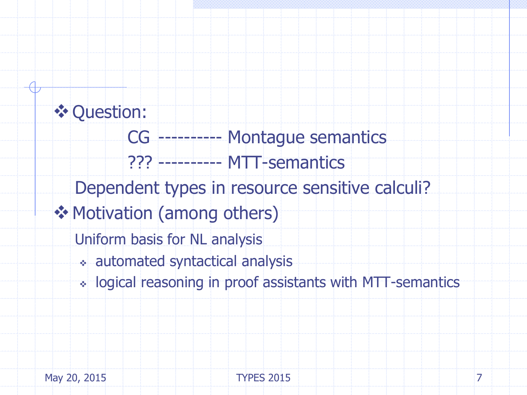### **❖ Question:**

 CG ---------- Montague semantics ??? ---------- MTT-semantics

Dependent types in resource sensitive calculi?

**❖ Motivation (among others)** 

Uniform basis for NL analysis

- automated syntactical analysis
- logical reasoning in proof assistants with MTT-semantics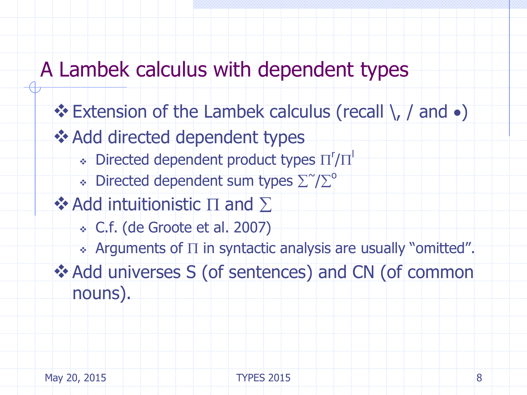### A Lambek calculus with dependent types

 $\div$  Extension of the Lambek calculus (recall  $\setminus$ , / and  $\bullet$ ) **❖ Add directed dependent types**  $\bullet$  Directed dependent product types  $\Pi'/\Pi'$  $\bullet$  Directed dependent sum types  $\Sigma$   $\mathcal{D}^{\circ}$ ❖ Add intuitionistic  $\Pi$  and  $\Sigma$  C.f. (de Groote et al. 2007)  $\cdot$  Arguments of  $\Pi$  in syntactic analysis are usually "omitted". Add universes S (of sentences) and CN (of common nouns).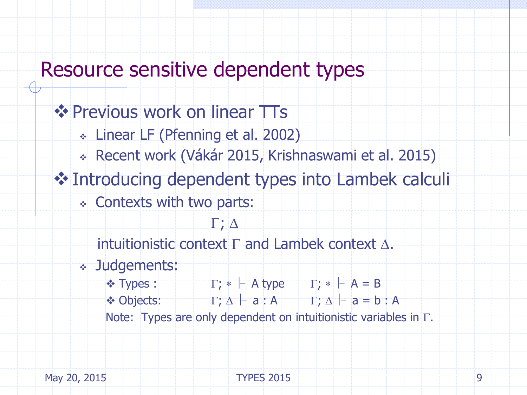### Resource sensitive dependent types

**❖ Previous work on linear TTs**  Linear LF (Pfenning et al. 2002) Recent work (Vákár 2015, Krishnaswami et al. 2015) Introducing dependent types into Lambek calculi Contexts with two parts:  $\Gamma$ ;  $\Delta$ intuitionistic context  $\Gamma$  and Lambek context  $\Delta$ . Judgements:  $\bullet$  Types :  $\Gamma$ ;  $\ast$  - A type  $\Gamma$ ;  $\ast$  - A = B  $\bullet$  Objects:  $\Gamma; \Delta \vdash a : A$   $\Gamma; \Delta \vdash a = b : A$ Note: Types are only dependent on intuitionistic variables in  $\Gamma$ .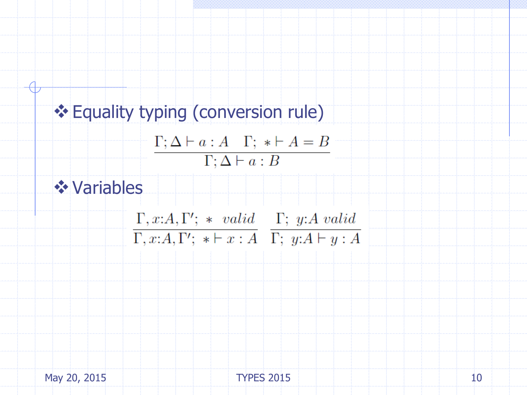# **Equality typing (conversion rule)**  $\Gamma; \Delta \vdash a : A \quad \Gamma; * \vdash A = B$  $\Gamma; \Delta \vdash a : B$ Variables  $\Gamma, x:A, \Gamma'; * valid \Gamma; y:A valid$  $\Gamma, x:A, \Gamma';$  \*  $\vdash x:A$   $\Gamma;$  y: A  $\vdash y:A$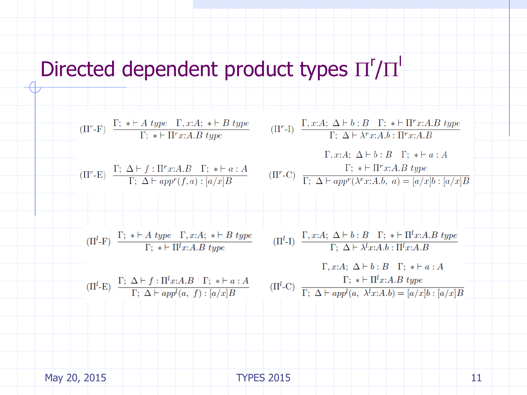# Directed dependent product types  $\Pi'/\Pi'$



May 20, 2015 11 TYPES 2015 11 11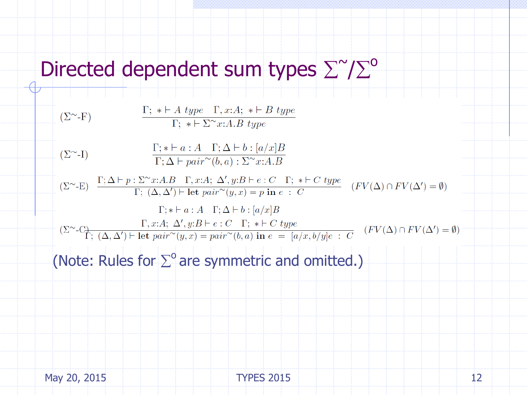# Directed dependent sum types  $\Sigma$ <sup>~</sup>/ $\Sigma$ <sup>o</sup>

$$
(\Sigma^{\sim} - F)
$$
\n
$$
\frac{\Gamma; * \vdash A \text{ type } \Gamma, x:A; * \vdash B \text{ type}}{\Gamma; * \vdash \Sigma^{\sim} x:A.B \text{ type}}
$$
\n
$$
(\Sigma^{\sim} - I)
$$
\n
$$
\frac{\Gamma; * \vdash a:A \Gamma; \Delta \vdash b: [a/x]B}{\Gamma; \Delta \vdash pair^{\sim}(b,a): \Sigma^{\sim} x:A.B}
$$
\n
$$
(\Sigma^{\sim} - E)
$$
\n
$$
\frac{\Gamma; \Delta \vdash p: \Sigma^{\sim} x:A.B \Gamma, x:A; \Delta', y:B \vdash e:C \Gamma; * \vdash C \text{ type}}{\Gamma; (\Delta, \Delta') \vdash \text{ let } pair^{\sim}(y,x) = p \text{ in } e : C} \quad (FV(\Delta) \cap FV(\Delta') = \emptyset)
$$
\n
$$
\Gamma; * \vdash a: A \Gamma; \Delta \vdash b: [a/x]B
$$
\n
$$
(\Sigma^{\sim} - C) \qquad \Gamma, x:A; \Delta', y:B \vdash e: C \Gamma; * \vdash C \text{ type}
$$
\n
$$
(\Sigma^{\sim} - C) \qquad \Gamma; (A, \Delta') \vdash \text{let } pair^{\sim}(y,x) = pair^{\sim}(b,a) \text{ in } e = [a/x, b/y]e : C \quad (FV(\Delta) \cap FV(\Delta') = \emptyset)
$$

(Note: Rules for  $\Sigma^{\circ}$  are symmetric and omitted.)

May 20, 2015 12 TYPES 2015 12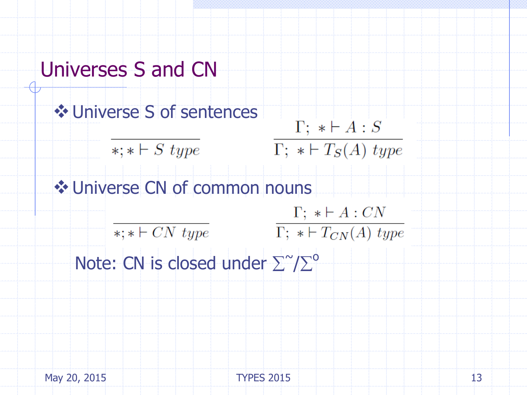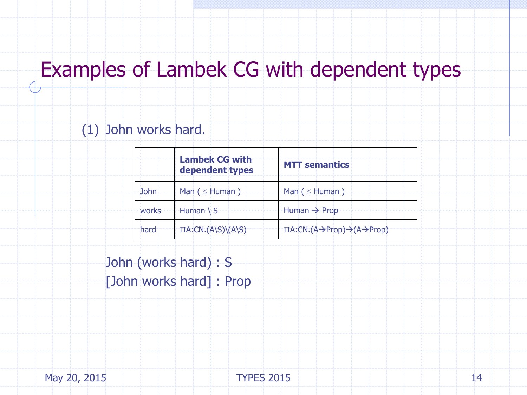## Examples of Lambek CG with dependent types

#### (1) John works hard.

|             | <b>Lambek CG with</b><br>dependent types | <b>MTT semantics</b>                                              |
|-------------|------------------------------------------|-------------------------------------------------------------------|
| <b>John</b> | Man $($ $\leq$ Human $)$                 | Man $($ $\leq$ Human $)$                                          |
| works       | Human $\setminus$ S                      | Human $\rightarrow$ Prop                                          |
| hard        | $\Pi A:CN. (A\ S)\ (A\ S)$               | $\Pi A:CN. (A \rightarrow Prop) \rightarrow (A \rightarrow Prop)$ |

John (works hard) : S [John works hard] : Prop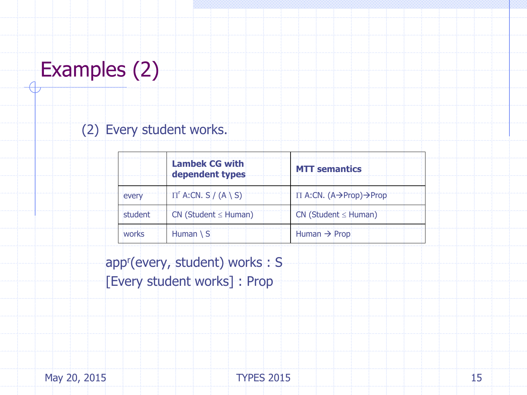# Examples (2)

### (2) Every student works.

|         | <b>Lambek CG with</b><br>dependent types | <b>MTT</b> semantics                                  |
|---------|------------------------------------------|-------------------------------------------------------|
| every   | $\Pi$ <sup>r</sup> A:CN. S / (A \ S)     | $\Pi$ A:CN. (A $\rightarrow$ Prop) $\rightarrow$ Prop |
| student | $CN$ (Student $\leq$ Human)              | $CN$ (Student $\leq$ Human)                           |
| works   | Human $\setminus$ S                      | Human $\rightarrow$ Prop                              |

app<sup>r</sup> (every, student) works : S [Every student works] : Prop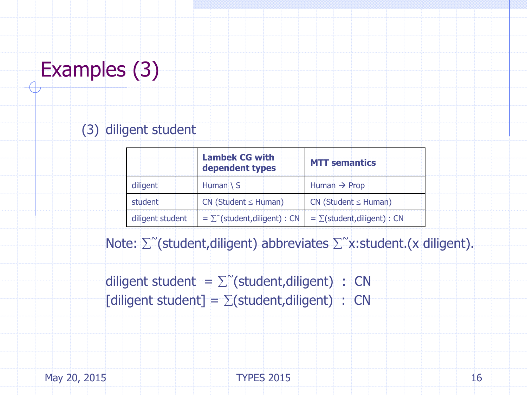# Examples (3)

### (3) diligent student

|                  | <b>Lambek CG with</b><br>dependent types | <b>MTT semantics</b>             |
|------------------|------------------------------------------|----------------------------------|
| diligent         | Human $\setminus$ S                      | Human $\rightarrow$ Prop         |
| student          | $CN$ (Student $\leq$ Human)              | $CN$ (Student $\leq$ Human)      |
| diligent student | $=\sum^{\sim}$ (student, diligent) : CN  | $= \sum (student,diligent)$ : CN |

Note:  $\sum^{\sim}$ (student, diligent) abbreviates  $\sum^{\sim}$ x: student. (x diligent).

diligent student =  $\sum^{\infty}$ (student,diligent) : CN [diligent student] =  $\Sigma$ (student,diligent) : CN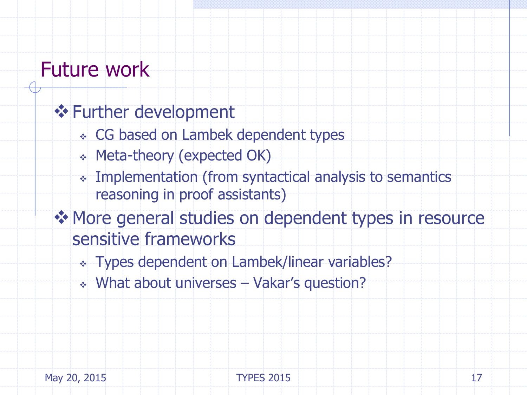### Future work

### **❖ Further development**

- CG based on Lambek dependent types
- Meta-theory (expected OK)
- Implementation (from syntactical analysis to semantics reasoning in proof assistants)
- ◆ More general studies on dependent types in resource sensitive frameworks
	- Types dependent on Lambek/linear variables?
	- What about universes Vakar's question?